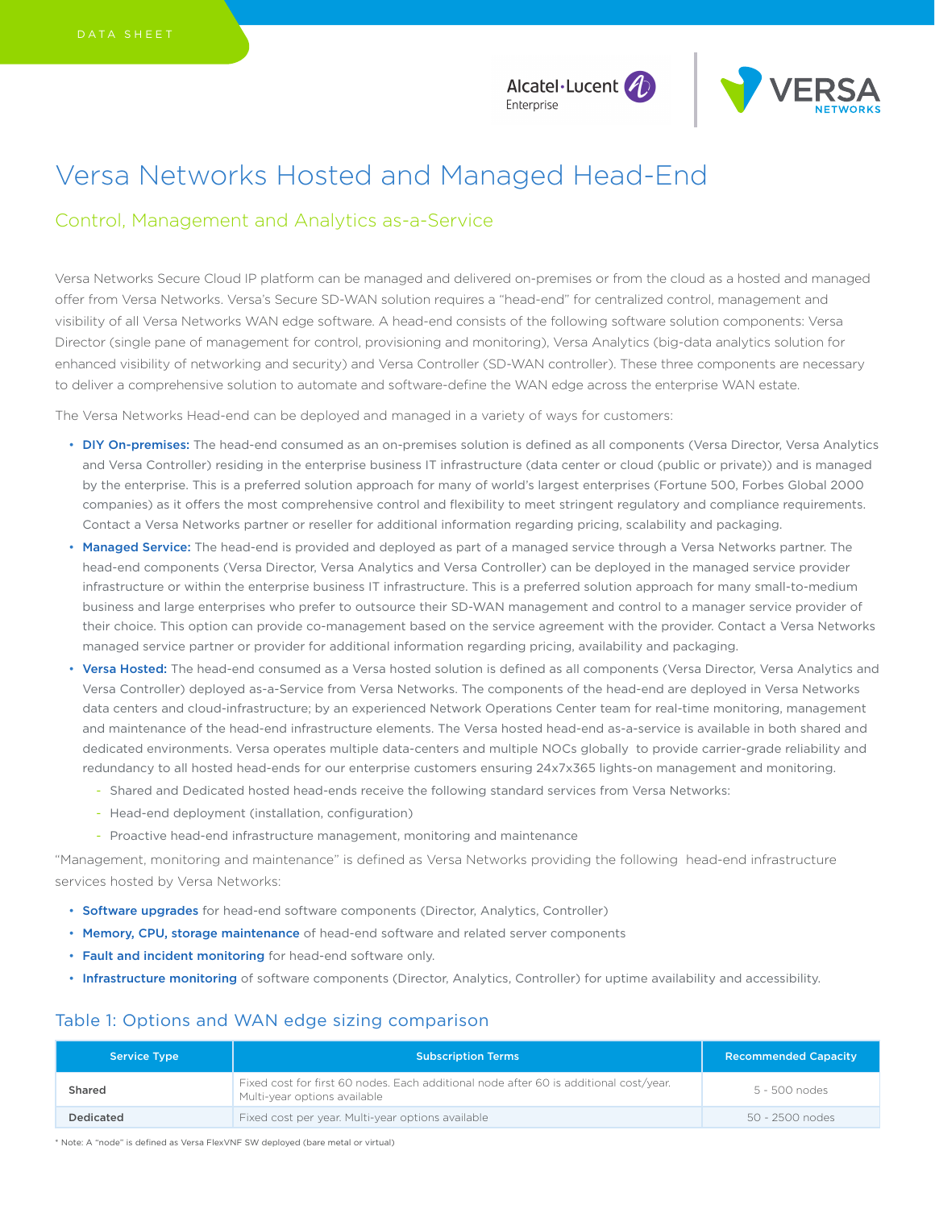Alcatel·Lucent (4) Enterprise



# Versa Networks Hosted and Managed Head-End

## Control, Management and Analytics as-a-Service

Versa Networks Secure Cloud IP platform can be managed and delivered on-premises or from the cloud as a hosted and managed offer from Versa Networks. Versa's Secure SD-WAN solution requires a "head-end" for centralized control, management and visibility of all Versa Networks WAN edge software. A head-end consists of the following software solution components: Versa Director (single pane of management for control, provisioning and monitoring), Versa Analytics (big-data analytics solution for enhanced visibility of networking and security) and Versa Controller (SD-WAN controller). These three components are necessary to deliver a comprehensive solution to automate and software-define the WAN edge across the enterprise WAN estate.

The Versa Networks Head-end can be deployed and managed in a variety of ways for customers:

- DIY On-premises: The head-end consumed as an on-premises solution is defined as all components (Versa Director, Versa Analytics and Versa Controller) residing in the enterprise business IT infrastructure (data center or cloud (public or private)) and is managed by the enterprise. This is a preferred solution approach for many of world's largest enterprises (Fortune 500, Forbes Global 2000 companies) as it offers the most comprehensive control and flexibility to meet stringent regulatory and compliance requirements. Contact a Versa Networks partner or reseller for additional information regarding pricing, scalability and packaging.
- Managed Service: The head-end is provided and deployed as part of a managed service through a Versa Networks partner. The head-end components (Versa Director, Versa Analytics and Versa Controller) can be deployed in the managed service provider infrastructure or within the enterprise business IT infrastructure. This is a preferred solution approach for many small-to-medium business and large enterprises who prefer to outsource their SD-WAN management and control to a manager service provider of their choice. This option can provide co-management based on the service agreement with the provider. Contact a Versa Networks managed service partner or provider for additional information regarding pricing, availability and packaging.
- Versa Hosted: The head-end consumed as a Versa hosted solution is defined as all components (Versa Director, Versa Analytics and Versa Controller) deployed as-a-Service from Versa Networks. The components of the head-end are deployed in Versa Networks data centers and cloud-infrastructure; by an experienced Network Operations Center team for real-time monitoring, management and maintenance of the head-end infrastructure elements. The Versa hosted head-end as-a-service is available in both shared and dedicated environments. Versa operates multiple data-centers and multiple NOCs globally to provide carrier-grade reliability and redundancy to all hosted head-ends for our enterprise customers ensuring 24x7x365 lights-on management and monitoring.
	- Shared and Dedicated hosted head-ends receive the following standard services from Versa Networks:
	- Head-end deployment (installation, configuration)
	- Proactive head-end infrastructure management, monitoring and maintenance

"Management, monitoring and maintenance" is defined as Versa Networks providing the following head-end infrastructure services hosted by Versa Networks:

- Software upgrades for head-end software components (Director, Analytics, Controller)
- Memory, CPU, storage maintenance of head-end software and related server components
- Fault and incident monitoring for head-end software only.
- Infrastructure monitoring of software components (Director, Analytics, Controller) for uptime availability and accessibility.

### Table 1: Options and WAN edge sizing comparison

| <b>Service Type</b> | <b>Subscription Terms</b>                                                                                             | <b>Recommended Capacity</b> |
|---------------------|-----------------------------------------------------------------------------------------------------------------------|-----------------------------|
| Shared              | Fixed cost for first 60 nodes. Each additional node after 60 is additional cost/year.<br>Multi-year options available | 5 - 500 nodes               |
| Dedicated           | Fixed cost per year. Multi-year options available                                                                     | 50 - 2500 nodes             |

\* Note: A "node" is defined as Versa FlexVNF SW deployed (bare metal or virtual)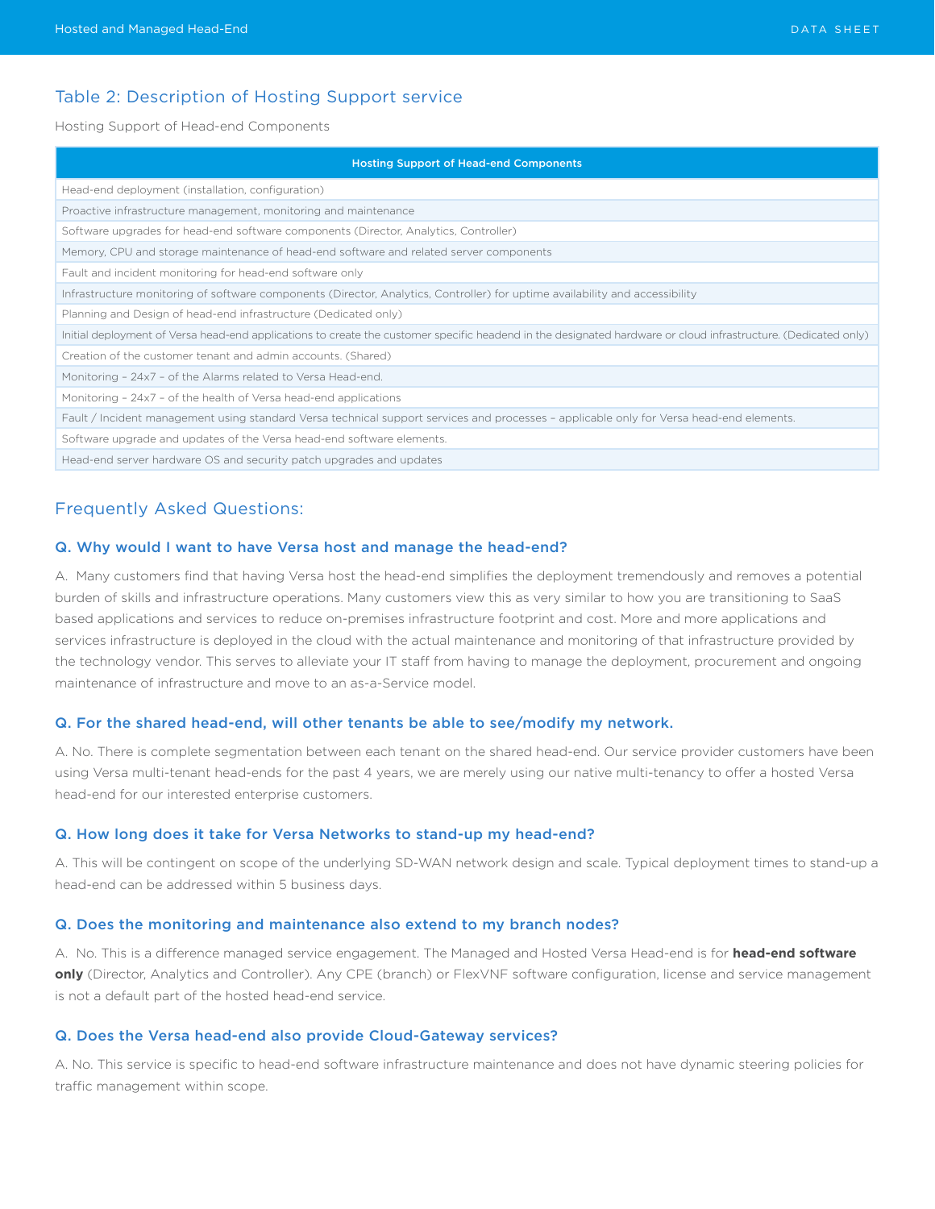### Table 2: Description of Hosting Support service

Hosting Support of Head-end Components

| <b>Hosting Support of Head-end Components</b>                                                                                                                  |
|----------------------------------------------------------------------------------------------------------------------------------------------------------------|
| Head-end deployment (installation, configuration)                                                                                                              |
| Proactive infrastructure management, monitoring and maintenance                                                                                                |
| Software upgrades for head-end software components (Director, Analytics, Controller)                                                                           |
| Memory, CPU and storage maintenance of head-end software and related server components                                                                         |
| Fault and incident monitoring for head-end software only                                                                                                       |
| Infrastructure monitoring of software components (Director, Analytics, Controller) for uptime availability and accessibility                                   |
| Planning and Design of head-end infrastructure (Dedicated only)                                                                                                |
| Initial deployment of Versa head-end applications to create the customer specific headend in the designated hardware or cloud infrastructure. (Dedicated only) |
| Creation of the customer tenant and admin accounts. (Shared)                                                                                                   |
| Monitoring - 24x7 - of the Alarms related to Versa Head-end.                                                                                                   |
| Monitoring - 24x7 - of the health of Versa head-end applications                                                                                               |
| Fault / Incident management using standard Versa technical support services and processes - applicable only for Versa head-end elements.                       |
| Software upgrade and updates of the Versa head-end software elements.                                                                                          |
| Head-end server hardware OS and security patch upgrades and updates                                                                                            |

### Frequently Asked Questions:

#### Q. Why would I want to have Versa host and manage the head-end?

A. Many customers find that having Versa host the head-end simplifies the deployment tremendously and removes a potential burden of skills and infrastructure operations. Many customers view this as very similar to how you are transitioning to SaaS based applications and services to reduce on-premises infrastructure footprint and cost. More and more applications and services infrastructure is deployed in the cloud with the actual maintenance and monitoring of that infrastructure provided by the technology vendor. This serves to alleviate your IT staff from having to manage the deployment, procurement and ongoing maintenance of infrastructure and move to an as-a-Service model.

#### Q. For the shared head-end, will other tenants be able to see/modify my network.

A. No. There is complete segmentation between each tenant on the shared head-end. Our service provider customers have been using Versa multi-tenant head-ends for the past 4 years, we are merely using our native multi-tenancy to offer a hosted Versa head-end for our interested enterprise customers.

#### Q. How long does it take for Versa Networks to stand-up my head-end?

A. This will be contingent on scope of the underlying SD-WAN network design and scale. Typical deployment times to stand-up a head-end can be addressed within 5 business days.

#### Q. Does the monitoring and maintenance also extend to my branch nodes?

A. No. This is a difference managed service engagement. The Managed and Hosted Versa Head-end is for **head-end software only** (Director, Analytics and Controller). Any CPE (branch) or FlexVNF software configuration, license and service management is not a default part of the hosted head-end service.

#### Q. Does the Versa head-end also provide Cloud-Gateway services?

A. No. This service is specific to head-end software infrastructure maintenance and does not have dynamic steering policies for traffic management within scope.